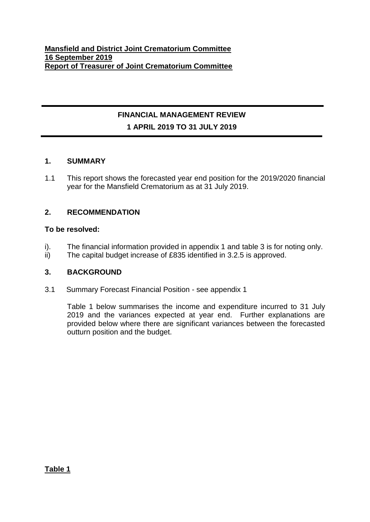# **FINANCIAL MANAGEMENT REVIEW 1 APRIL 2019 TO 31 JULY 2019**

## **1. SUMMARY**

1.1 This report shows the forecasted year end position for the 2019/2020 financial year for the Mansfield Crematorium as at 31 July 2019.

## **2. RECOMMENDATION**

#### **To be resolved:**

- i). The financial information provided in appendix 1 and table 3 is for noting only.
- ii) The capital budget increase of £835 identified in 3.2.5 is approved.

## **3. BACKGROUND**

3.1 Summary Forecast Financial Position - see appendix 1

Table 1 below summarises the income and expenditure incurred to 31 July 2019 and the variances expected at year end. Further explanations are provided below where there are significant variances between the forecasted outturn position and the budget.

**Table 1**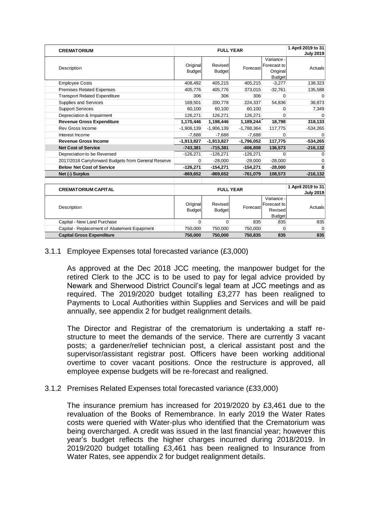| <b>CREMATORIUM</b>                                  |                           | 1 April 2019 to 31<br><b>FULL YEAR</b> |                  |                                                      |                    |
|-----------------------------------------------------|---------------------------|----------------------------------------|------------------|------------------------------------------------------|--------------------|
| Description                                         | Original<br><b>Budget</b> | Revised<br><b>Budget</b>               | Forecast         | Variance<br>Forecast to<br>Original<br><b>Budget</b> | Actuals            |
| <b>Employee Costs</b>                               | 408,492                   | 405,215                                | 405,215          | $-3,277$                                             | 138,323            |
| <b>Premises Related Expenses</b>                    | 405,776                   | 405,776                                | 373,015          | $-32,761$                                            | 135,588            |
| <b>Transport Related Expenditure</b>                | 306                       | 306                                    | 306              | $\Omega$                                             | $\Omega$           |
| Supplies and Services                               | 169,501                   | 200,778                                | 224,337          | 54,836                                               | 36,873             |
| <b>Support Services</b>                             | 60.100                    | 60,100                                 | 60,100           | <sup>0</sup>                                         | 7,349              |
| Depreciation & Impairment                           | 126,271                   | 126,271                                | 126,271          |                                                      |                    |
| <b>Revenue Gross Expenditure</b>                    | 1,170,446                 | 1,198,446                              | 1,189,244        | 18,798                                               | 318,133            |
| Rev Gross Income                                    | $-1,906,139$              | $-1,906,139$                           | $-1,788,364$     | 117,775                                              | $-534,265$         |
| Interest Income                                     | $-7.688$                  | $-7,688$                               | $-7,688$         | $\Omega$                                             | ∩                  |
| <b>Revenue Gross Income</b>                         | $-1,913,827$              | $-1,913,827$                           | $-1,796,052$     | 117,775                                              | $-534,265$         |
| <b>Net Cost of Service</b>                          | $-743,381$                | $-715,381$                             | $-606,808$       | 136,573                                              | $-216, 132$        |
| Depreciation to be Reversed                         | $-126,271$                | $-126,271$                             | $-126,271$       | $\Omega$                                             | O                  |
| 2017/2018 Carryforward Budgets from General Reserve | $\Omega$                  | $-28,000$                              | $-28,000$        | $-28,000$                                            | 0                  |
| <b>Below Net Cost of Service</b>                    | $-126,271$                | $-154,271$                             | $-154,271$       | $-28,000$                                            | 0                  |
| Net (-) Surplus                                     | $-869,652$                | $-869,652$                             | $-761,079$       | 108,573                                              | $-216, 132$        |
|                                                     |                           |                                        |                  |                                                      |                    |
| <b>CREMATORIUM CAPITAL</b>                          |                           |                                        | <b>FULL YEAR</b> |                                                      | 1 April 2019 to 31 |
|                                                     |                           |                                        |                  |                                                      | <b>July 2019</b>   |
| Description                                         | Original<br><b>Budget</b> | Revised<br><b>Budget</b>               | Forecast         | Variance<br>Forecast to<br>Revised<br><b>Budget</b>  | Actuals            |
| Capital - New Land Purchase                         | $\Omega$                  | $\Omega$                               | 835              | 835                                                  | 835                |
| Capital - Replacement of Abatement Equipment        | 750,000                   | 750,000                                | 750,000          | $\Omega$                                             | $\Omega$           |
| <b>Capital Gross Expenditure</b>                    | 750,000                   | 750,000                                | 750,835          | 835                                                  | 835                |

## 3.1.1 Employee Expenses total forecasted variance (£3,000)

As approved at the Dec 2018 JCC meeting, the manpower budget for the retired Clerk to the JCC is to be used to pay for legal advice provided by Newark and Sherwood District Council's legal team at JCC meetings and as required. The 2019/2020 budget totalling £3,277 has been realigned to Payments to Local Authorities within Supplies and Services and will be paid annually, see appendix 2 for budget realignment details.

The Director and Registrar of the crematorium is undertaking a staff restructure to meet the demands of the service. There are currently 3 vacant posts; a gardener/relief technician post, a clerical assistant post and the supervisor/assistant registrar post. Officers have been working additional overtime to cover vacant positions. Once the restructure is approved, all employee expense budgets will be re-forecast and realigned.

## 3.1.2 Premises Related Expenses total forecasted variance (£33,000)

The insurance premium has increased for 2019/2020 by £3,461 due to the revaluation of the Books of Remembrance. In early 2019 the Water Rates costs were queried with Water-plus who identified that the Crematorium was being overcharged. A credit was issued in the last financial year; however this year's budget reflects the higher charges incurred during 2018/2019. In 2019/2020 budget totalling £3,461 has been realigned to Insurance from Water Rates, see appendix 2 for budget realignment details.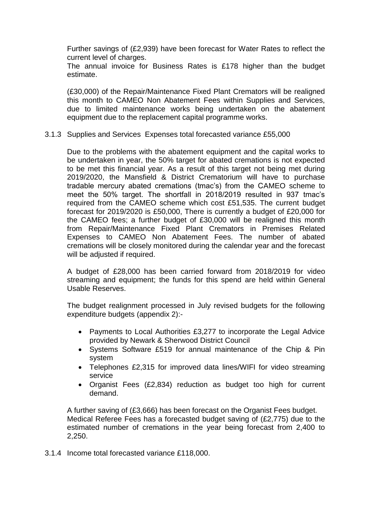Further savings of (£2,939) have been forecast for Water Rates to reflect the current level of charges.

The annual invoice for Business Rates is £178 higher than the budget estimate.

(£30,000) of the Repair/Maintenance Fixed Plant Cremators will be realigned this month to CAMEO Non Abatement Fees within Supplies and Services, due to limited maintenance works being undertaken on the abatement equipment due to the replacement capital programme works.

#### 3.1.3 Supplies and Services Expenses total forecasted variance £55,000

Due to the problems with the abatement equipment and the capital works to be undertaken in year, the 50% target for abated cremations is not expected to be met this financial year. As a result of this target not being met during 2019/2020, the Mansfield & District Crematorium will have to purchase tradable mercury abated cremations (tmac's) from the CAMEO scheme to meet the 50% target. The shortfall in 2018/2019 resulted in 937 tmac's required from the CAMEO scheme which cost £51,535. The current budget forecast for 2019/2020 is £50,000, There is currently a budget of £20,000 for the CAMEO fees; a further budget of £30,000 will be realigned this month from Repair/Maintenance Fixed Plant Cremators in Premises Related Expenses to CAMEO Non Abatement Fees. The number of abated cremations will be closely monitored during the calendar year and the forecast will be adjusted if required.

A budget of £28,000 has been carried forward from 2018/2019 for video streaming and equipment; the funds for this spend are held within General Usable Reserves.

The budget realignment processed in July revised budgets for the following expenditure budgets (appendix 2):-

- Payments to Local Authorities £3,277 to incorporate the Legal Advice provided by Newark & Sherwood District Council
- Systems Software £519 for annual maintenance of the Chip & Pin system
- Telephones £2,315 for improved data lines/WIFI for video streaming service
- Organist Fees (£2,834) reduction as budget too high for current demand.

A further saving of (£3,666) has been forecast on the Organist Fees budget. Medical Referee Fees has a forecasted budget saving of (£2,775) due to the estimated number of cremations in the year being forecast from 2,400 to 2,250.

3.1.4 Income total forecasted variance £118,000.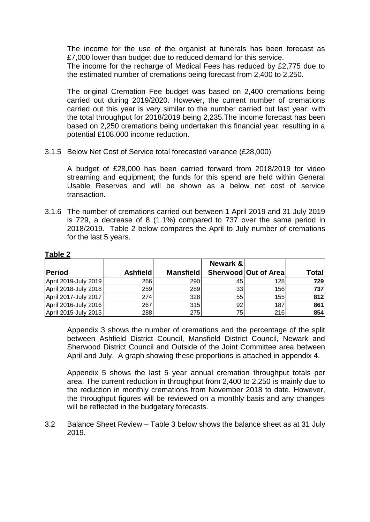The income for the use of the organist at funerals has been forecast as £7,000 lower than budget due to reduced demand for this service.

The income for the recharge of Medical Fees has reduced by £2,775 due to the estimated number of cremations being forecast from 2,400 to 2,250.

The original Cremation Fee budget was based on 2,400 cremations being carried out during 2019/2020. However, the current number of cremations carried out this year is very similar to the number carried out last year; with the total throughput for 2018/2019 being 2,235.The income forecast has been based on 2,250 cremations being undertaken this financial year, resulting in a potential £108,000 income reduction.

3.1.5 Below Net Cost of Service total forecasted variance (£28,000)

A budget of £28,000 has been carried forward from 2018/2019 for video streaming and equipment; the funds for this spend are held within General Usable Reserves and will be shown as a below net cost of service transaction.

3.1.6 The number of cremations carried out between 1 April 2019 and 31 July 2019 is 729, a decrease of 8 (1.1%) compared to 737 over the same period in 2018/2019. Table 2 below compares the April to July number of cremations for the last 5 years.

|                      |                 |                  | Newark & |                      |       |
|----------------------|-----------------|------------------|----------|----------------------|-------|
| Period               | <b>Ashfield</b> | <b>Mansfield</b> |          | Sherwood Out of Area | Total |
| April 2019-July 2019 | 266             | 290              | 45       | <b>128</b>           | 729   |
| April 2018-July 2018 | 259             | 289              | 33       | 156                  | 737   |
| April 2017-July 2017 | 274             | 328              | 55 I     | 155                  | 812   |
| April 2016-July 2016 | 267             | 315              | 92       | 187                  | 861   |
| April 2015-July 2015 | 288             | 275              | 75       | 216                  | 854   |

#### **Table 2**

Appendix 3 shows the number of cremations and the percentage of the split between Ashfield District Council, Mansfield District Council, Newark and Sherwood District Council and Outside of the Joint Committee area between April and July. A graph showing these proportions is attached in appendix 4.

Appendix 5 shows the last 5 year annual cremation throughput totals per area. The current reduction in throughput from 2,400 to 2,250 is mainly due to the reduction in monthly cremations from November 2018 to date. However, the throughput figures will be reviewed on a monthly basis and any changes will be reflected in the budgetary forecasts.

3.2 Balance Sheet Review – Table 3 below shows the balance sheet as at 31 July 2019.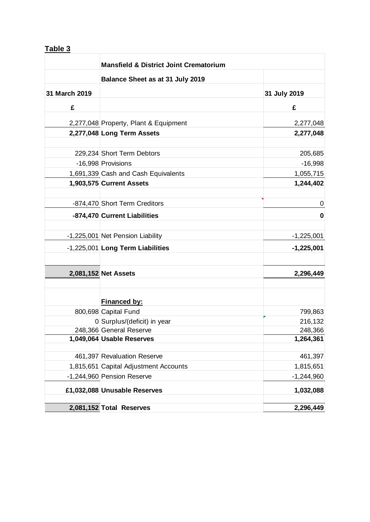## **Table 3**

| <b>Mansfield &amp; District Joint Crematorium</b> |                                       |              |  |
|---------------------------------------------------|---------------------------------------|--------------|--|
|                                                   | Balance Sheet as at 31 July 2019      |              |  |
| 31 March 2019                                     |                                       | 31 July 2019 |  |
| £                                                 |                                       | £            |  |
|                                                   | 2,277,048 Property, Plant & Equipment | 2,277,048    |  |
|                                                   | 2,277,048 Long Term Assets            | 2,277,048    |  |
|                                                   | 229,234 Short Term Debtors            | 205,685      |  |
|                                                   | -16,998 Provisions                    | $-16,998$    |  |
|                                                   | 1,691,339 Cash and Cash Equivalents   | 1,055,715    |  |
|                                                   | 1,903,575 Current Assets              | 1,244,402    |  |
|                                                   | -874,470 Short Term Creditors         | 0            |  |
|                                                   | -874,470 Current Liabilities          | 0            |  |
|                                                   |                                       |              |  |
|                                                   | -1,225,001 Net Pension Liability      | $-1,225,001$ |  |
|                                                   | -1,225,001 Long Term Liabilities      | $-1,225,001$ |  |
|                                                   |                                       |              |  |
|                                                   | 2,081,152 Net Assets                  | 2,296,449    |  |
|                                                   |                                       |              |  |
|                                                   | Financed by:<br>800,698 Capital Fund  | 799,863      |  |
|                                                   | 0 Surplus/(deficit) in year           | 216,132      |  |
|                                                   | 248,366 General Reserve               | 248,366      |  |
|                                                   | 1,049,064 Usable Reserves             | 1,264,361    |  |
|                                                   |                                       |              |  |
|                                                   | 461,397 Revaluation Reserve           | 461,397      |  |
|                                                   | 1,815,651 Capital Adjustment Accounts | 1,815,651    |  |
|                                                   | -1,244,960 Pension Reserve            | $-1,244,960$ |  |
|                                                   | £1,032,088 Unusable Reserves          | 1,032,088    |  |
|                                                   | 2,081,152 Total Reserves              | 2,296,449    |  |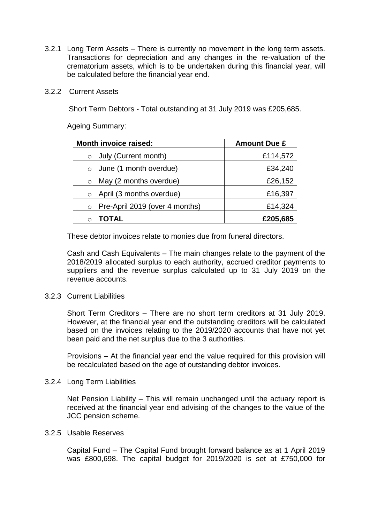- 3.2.1 Long Term Assets There is currently no movement in the long term assets. Transactions for depreciation and any changes in the re-valuation of the crematorium assets, which is to be undertaken during this financial year, will be calculated before the financial year end.
- 3.2.2 Current Assets

Short Term Debtors - Total outstanding at 31 July 2019 was £205,685.

Ageing Summary:

| <b>Month invoice raised:</b>              | <b>Amount Due £</b> |  |  |
|-------------------------------------------|---------------------|--|--|
| July (Current month)<br>$\circ$           | £114,572            |  |  |
| June (1 month overdue)<br>$\circ$         | £34,240             |  |  |
| May (2 months overdue)<br>$\circ$         | £26,152             |  |  |
| April (3 months overdue)<br>$\circ$       | £16,397             |  |  |
| Pre-April 2019 (over 4 months)<br>$\circ$ | £14,324             |  |  |
| <b>TOTAL</b>                              | £205,685            |  |  |

These debtor invoices relate to monies due from funeral directors.

Cash and Cash Equivalents – The main changes relate to the payment of the 2018/2019 allocated surplus to each authority, accrued creditor payments to suppliers and the revenue surplus calculated up to 31 July 2019 on the revenue accounts.

#### 3.2.3 Current Liabilities

Short Term Creditors – There are no short term creditors at 31 July 2019. However, at the financial year end the outstanding creditors will be calculated based on the invoices relating to the 2019/2020 accounts that have not yet been paid and the net surplus due to the 3 authorities.

Provisions – At the financial year end the value required for this provision will be recalculated based on the age of outstanding debtor invoices.

3.2.4 Long Term Liabilities

Net Pension Liability – This will remain unchanged until the actuary report is received at the financial year end advising of the changes to the value of the JCC pension scheme.

#### 3.2.5 Usable Reserves

Capital Fund – The Capital Fund brought forward balance as at 1 April 2019 was £800,698. The capital budget for 2019/2020 is set at £750,000 for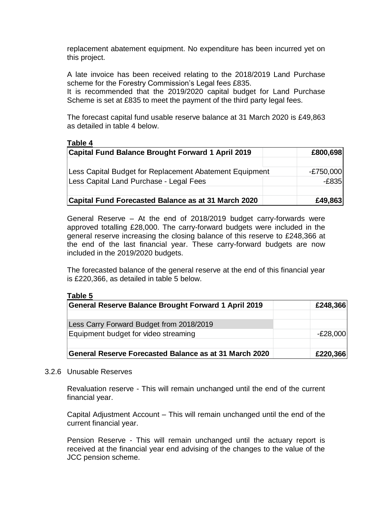replacement abatement equipment. No expenditure has been incurred yet on this project.

A late invoice has been received relating to the 2018/2019 Land Purchase scheme for the Forestry Commission's Legal fees £835.

It is recommended that the 2019/2020 capital budget for Land Purchase Scheme is set at £835 to meet the payment of the third party legal fees.

The forecast capital fund usable reserve balance at 31 March 2020 is £49,863 as detailed in table 4 below.

#### **Table 4**

| <b>Capital Fund Balance Brought Forward 1 April 2019</b>                                           | £800,698               |
|----------------------------------------------------------------------------------------------------|------------------------|
| Less Capital Budget for Replacement Abatement Equipment<br>Less Capital Land Purchase - Legal Fees | $-E750,000$<br>$-E835$ |
| Capital Fund Forecasted Balance as at 31 March 2020                                                | £49,863                |

General Reserve – At the end of 2018/2019 budget carry-forwards were approved totalling £28,000. The carry-forward budgets were included in the general reserve increasing the closing balance of this reserve to £248,366 at the end of the last financial year. These carry-forward budgets are now included in the 2019/2020 budgets.

The forecasted balance of the general reserve at the end of this financial year is £220,366, as detailed in table 5 below.

#### **Table 5**

| <b>General Reserve Balance Brought Forward 1 April 2019</b> | £248,366   |
|-------------------------------------------------------------|------------|
|                                                             |            |
| Less Carry Forward Budget from 2018/2019                    |            |
| Equipment budget for video streaming                        | $-E28,000$ |
|                                                             |            |
| General Reserve Forecasted Balance as at 31 March 2020      | £220,366   |

#### 3.2.6 Unusable Reserves

Revaluation reserve - This will remain unchanged until the end of the current financial year.

Capital Adjustment Account – This will remain unchanged until the end of the current financial year.

Pension Reserve - This will remain unchanged until the actuary report is received at the financial year end advising of the changes to the value of the JCC pension scheme.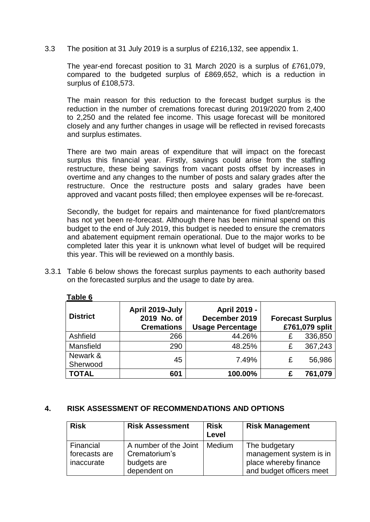3.3 The position at 31 July 2019 is a surplus of £216,132, see appendix 1.

The year-end forecast position to 31 March 2020 is a surplus of £761,079, compared to the budgeted surplus of £869,652, which is a reduction in surplus of £108,573.

The main reason for this reduction to the forecast budget surplus is the reduction in the number of cremations forecast during 2019/2020 from 2,400 to 2,250 and the related fee income. This usage forecast will be monitored closely and any further changes in usage will be reflected in revised forecasts and surplus estimates.

There are two main areas of expenditure that will impact on the forecast surplus this financial year. Firstly, savings could arise from the staffing restructure, these being savings from vacant posts offset by increases in overtime and any changes to the number of posts and salary grades after the restructure. Once the restructure posts and salary grades have been approved and vacant posts filled; then employee expenses will be re-forecast.

Secondly, the budget for repairs and maintenance for fixed plant/cremators has not yet been re-forecast. Although there has been minimal spend on this budget to the end of July 2019, this budget is needed to ensure the cremators and abatement equipment remain operational. Due to the major works to be completed later this year it is unknown what level of budget will be required this year. This will be reviewed on a monthly basis.

3.3.1 Table 6 below shows the forecast surplus payments to each authority based on the forecasted surplus and the usage to date by area.

| I UNIV V             |                                                     |                                                          |                                           |
|----------------------|-----------------------------------------------------|----------------------------------------------------------|-------------------------------------------|
| <b>District</b>      | April 2019-July<br>2019 No. of<br><b>Cremations</b> | April 2019 -<br>December 2019<br><b>Usage Percentage</b> | <b>Forecast Surplus</b><br>£761,079 split |
| Ashfield             | 266                                                 | 44.26%                                                   | 336,850<br>£                              |
| Mansfield            | 290                                                 | 48.25%                                                   | 367,243<br>£                              |
| Newark &<br>Sherwood | 45                                                  | 7.49%                                                    | 56,986<br>£                               |
| <b>TOTAL</b>         | 601                                                 | 100.00%                                                  | 761,079                                   |

#### **4. RISK ASSESSMENT OF RECOMMENDATIONS AND OPTIONS**

| <b>Risk</b>                              | <b>Risk Assessment</b>                                                | <b>Risk</b><br>Level | <b>Risk Management</b>                                                                        |
|------------------------------------------|-----------------------------------------------------------------------|----------------------|-----------------------------------------------------------------------------------------------|
| Financial<br>forecasts are<br>inaccurate | A number of the Joint<br>Crematorium's<br>budgets are<br>dependent on | Medium               | The budgetary<br>management system is in<br>place whereby finance<br>and budget officers meet |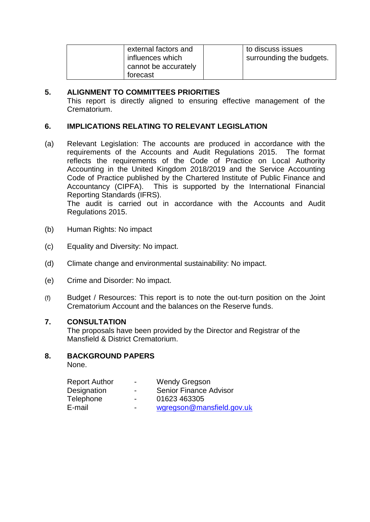| external factors and | to discuss issues        |
|----------------------|--------------------------|
| influences which     | surrounding the budgets. |
| cannot be accurately |                          |
| forecast             |                          |

## **5. ALIGNMENT TO COMMITTEES PRIORITIES**

This report is directly aligned to ensuring effective management of the Crematorium.

## **6. IMPLICATIONS RELATING TO RELEVANT LEGISLATION**

(a) Relevant Legislation: The accounts are produced in accordance with the requirements of the Accounts and Audit Regulations 2015. The format reflects the requirements of the Code of Practice on Local Authority Accounting in the United Kingdom 2018/2019 and the Service Accounting Code of Practice published by the Chartered Institute of Public Finance and Accountancy (CIPFA). This is supported by the International Financial Reporting Standards (IFRS). The audit is carried out in accordance with the Accounts and Audit

Regulations 2015.

- (b) Human Rights: No impact
- (c) Equality and Diversity: No impact.
- (d) Climate change and environmental sustainability: No impact.
- (e) Crime and Disorder: No impact.
- (f) Budget / Resources: This report is to note the out-turn position on the Joint Crematorium Account and the balances on the Reserve funds.

## **7. CONSULTATION**

The proposals have been provided by the Director and Registrar of the Mansfield & District Crematorium.

## **8. BACKGROUND PAPERS**

None.

| <b>Report Author</b> | $\overline{\phantom{a}}$ | <b>Wendy Gregson</b>          |
|----------------------|--------------------------|-------------------------------|
| Designation          | $\overline{\phantom{0}}$ | <b>Senior Finance Advisor</b> |
| Telephone            | $\blacksquare$           | 01623 463305                  |
| E-mail               | $\blacksquare$           | wgregson@mansfield.gov.uk     |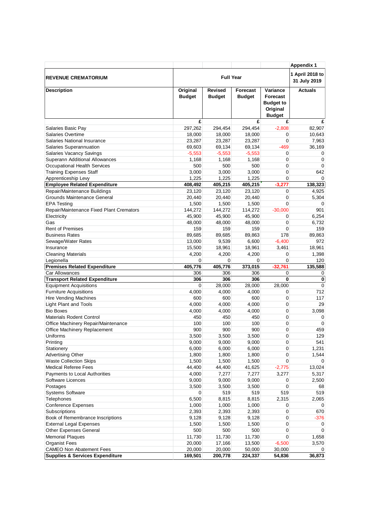|                                                             |                           |                                 |                           |                                                                              | <b>Appendix 1</b>    |
|-------------------------------------------------------------|---------------------------|---------------------------------|---------------------------|------------------------------------------------------------------------------|----------------------|
| <b>REVENUE CREMATORIUM</b>                                  | <b>Full Year</b>          |                                 |                           | 1 April 2018 to<br>31 July 2019                                              |                      |
| <b>Description</b>                                          | Original<br><b>Budget</b> | <b>Revised</b><br><b>Budget</b> | Forecast<br><b>Budget</b> | Variance<br><b>Forecast</b><br><b>Budget to</b><br>Original<br><b>Budget</b> | <b>Actuals</b>       |
|                                                             | £                         |                                 | £                         | £                                                                            | £                    |
| Salaries Basic Pay                                          | 297,262                   | 294,454                         | 294,454                   | $-2,808$                                                                     | 82,907               |
| <b>Salaries Overtime</b>                                    | 18,000                    | 18,000                          | 18,000                    | 0                                                                            | 10,643               |
| Salaries National Insurance                                 | 23,287                    | 23,287                          | 23,287                    | $\mathbf 0$                                                                  | 7,963                |
| Salaries Superannuation                                     | 69,603                    | 69,134                          | 69,134                    | -469                                                                         | 36,169               |
| Salaries Vacancy Savings                                    | $-5,553$                  | $-5,553$                        | $-5,553$                  | 0                                                                            | 0                    |
| Superann Additional Allowances                              | 1,168                     | 1,168                           | 1,168                     | 0                                                                            | $\mathbf 0$          |
| <b>Occupational Health Services</b>                         | 500                       | 500                             | 500                       | 0                                                                            | $\mathbf 0$          |
| <b>Training Expenses Staff</b>                              | 3,000                     | 3,000                           | 3,000                     | 0                                                                            | 642                  |
| Apprenticeship Levy                                         | 1,225                     | 1,225                           | 1,225<br>405,215          | 0                                                                            | $\Omega$<br>138,323  |
| <b>Employee Related Expenditure</b>                         | 408,492<br>23,120         | 405,215<br>23,120               | 23,120                    | $-3,277$                                                                     | 4,925                |
| Repair/Maintenance Buildings<br>Grounds Maintenance General | 20,440                    | 20,440                          | 20,440                    | 0<br>0                                                                       |                      |
| <b>EPA Testing</b>                                          | 1,500                     | 1,500                           | 1,500                     | 0                                                                            | 5,304<br>$\mathbf 0$ |
| Repair/Maintenance Fixed Plant Cremators                    | 144,272                   | 144,272                         | 114,272                   | $-30,000$                                                                    | 901                  |
| Electricity                                                 | 45,900                    | 45,900                          | 45,900                    | 0                                                                            | 6,254                |
| Gas                                                         | 48,000                    | 48,000                          | 48,000                    | $\mathbf 0$                                                                  | 6,732                |
| <b>Rent of Premises</b>                                     | 159                       | 159                             | 159                       | 0                                                                            | 159                  |
| <b>Business Rates</b>                                       | 89,685                    | 89,685                          | 89,863                    | 178                                                                          | 89,863               |
| Sewage/Water Rates                                          | 13,000                    | 9,539                           | 6,600                     | $-6,400$                                                                     | 972                  |
| Insurance                                                   | 15,500                    | 18,961                          | 18,961                    | 3,461                                                                        | 18,961               |
| <b>Cleaning Materials</b>                                   | 4,200                     | 4,200                           | 4,200                     | 0                                                                            | 1,398                |
| Legionella                                                  | 0                         | 0                               | 0                         | $\mathbf 0$                                                                  | 120                  |
| <b>Premises Related Expenditure</b>                         | 405,776                   | 405,776                         | 373,015                   | $-32,761$                                                                    | 135,588              |
| Car Allowances                                              | 306                       | 306                             | 306                       | 0                                                                            | 0                    |
| <b>Transport Related Expenditure</b>                        | 306                       | 306                             | 306                       | $\mathbf 0$                                                                  | $\bf{0}$             |
| <b>Equipment Acquisitions</b>                               | 0                         | 28,000                          | 28,000                    | 28,000                                                                       | $\mathbf 0$          |
| <b>Furniture Acquisitions</b>                               | 4,000                     | 4,000                           | 4,000                     | 0                                                                            | 712                  |
| Hire Vending Machines                                       | 600                       | 600                             | 600                       | 0                                                                            | 117                  |
| <b>Light Plant and Tools</b>                                | 4,000                     | 4,000                           | 4,000                     | 0                                                                            | 29                   |
| <b>Bio Boxes</b>                                            | 4,000                     | 4,000                           | 4,000                     | 0                                                                            | 3,098                |
| <b>Materials Rodent Control</b>                             | 450                       | 450                             | 450                       | 0                                                                            | 0                    |
| Office Machinery Repair/Maintenance                         | 100                       | 100                             | 100                       | $\mathbf 0$                                                                  | $\mathbf 0$          |
| Office Machinery Replacement                                | 900                       | 900                             | 900                       | 0                                                                            | 459                  |
| Uniforms                                                    | 3,500                     | 3,500                           | 3.500                     | 0                                                                            | 129                  |
| Printing                                                    | 9,000                     | 9,000                           | 9,000                     | $\pmb{0}$                                                                    | 541                  |
| Stationery                                                  | 6,000                     | 6,000                           | 6,000                     | 0                                                                            | 1,231                |
| Advertising Other                                           | 1,800                     | 1,800                           | 1,800                     | 0                                                                            | 1,544                |
| <b>Waste Collection Skips</b>                               | 1,500                     | 1,500                           | 1,500                     | 0                                                                            | 0                    |
| <b>Medical Referee Fees</b>                                 | 44,400                    | 44,400                          | 41,625                    | $-2,775$                                                                     | 13,024               |
| Payments to Local Authorities                               | 4,000                     | 7,277                           | 7,277                     | 3,277                                                                        | 5,317                |
| Software Licences                                           | 9,000                     | 9,000                           | 9,000                     | 0<br>0                                                                       | 2,500                |
| Postages                                                    | 3,500<br>0                | 3,500<br>519                    | 3,500<br>519              | 519                                                                          | 68<br>519            |
| <b>Systems Software</b>                                     |                           | 8,815                           |                           |                                                                              | 2,065                |
| <b>Telephones</b><br>Conference Expenses                    | 6,500<br>1,000            | 1,000                           | 8,815<br>1,000            | 2,315<br>0                                                                   | 0                    |
| Subscriptions                                               | 2,393                     | 2,393                           | 2,393                     | 0                                                                            | 670                  |
| Book of Remembrance Inscriptions                            | 9,128                     | 9,128                           | 9,128                     | 0                                                                            | $-376$               |
| <b>External Legal Expenses</b>                              | 1,500                     | 1,500                           | 1,500                     | $\mathbf 0$                                                                  | 0                    |
| <b>Other Expenses General</b>                               | 500                       | 500                             | 500                       | 0                                                                            | 0                    |
| <b>Memorial Plaques</b>                                     | 11,730                    | 11,730                          | 11,730                    | 0                                                                            | 1,658                |
| <b>Organist Fees</b>                                        | 20,000                    | 17,166                          | 13,500                    | $-6,500$                                                                     | 3,570                |
| <b>CAMEO Non Abatement Fees</b>                             | 20,000                    | 20,000                          | 50,000                    | 30,000                                                                       | 0                    |
| <b>Supplies &amp; Services Expenditure</b>                  | 169,501                   | 200,778                         | 224,337                   | 54,836                                                                       | 36,873               |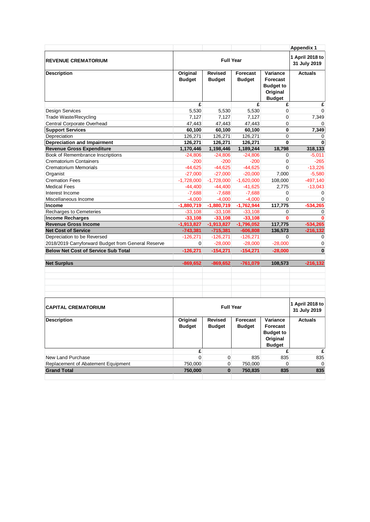|                                                    |               |                  |                 |                              | <b>Appendix 1</b> |
|----------------------------------------------------|---------------|------------------|-----------------|------------------------------|-------------------|
|                                                    |               | <b>Full Year</b> |                 |                              | 1 April 2018 to   |
| <b>REVENUE CREMATORIUM</b>                         |               | 31 July 2019     |                 |                              |                   |
|                                                    |               |                  |                 |                              |                   |
| <b>Description</b>                                 | Original      | <b>Revised</b>   | <b>Forecast</b> | Variance                     | <b>Actuals</b>    |
|                                                    | <b>Budget</b> | <b>Budget</b>    | <b>Budget</b>   | Forecast                     |                   |
|                                                    |               |                  |                 | <b>Budget to</b>             |                   |
|                                                    |               |                  |                 | Original<br><b>Budget</b>    |                   |
|                                                    | £             |                  | £               | £                            | £                 |
| <b>Design Services</b>                             | 5,530         | 5.530            | 5,530           | $\mathbf 0$                  | $\Omega$          |
| <b>Trade Waste/Recycling</b>                       | 7,127         | 7,127            | 7,127           | 0                            | 7,349             |
| Central Corporate Overhead                         | 47,443        | 47,443           | 47,443          | 0                            |                   |
| <b>Support Services</b>                            | 60,100        | 60,100           | 60,100          | 0                            | 7,349             |
| Depreciation                                       | 126,271       | 126,271          | 126,271         | 0                            | 0                 |
| Depreciation and Impairment                        | 126,271       | 126,271          | 126,271         | 0                            | 0                 |
| <b>Revenue Gross Expenditure</b>                   | 1,170,446     | 1,198,446        | 1,189,244       | 18,798                       | 318,133           |
| Book of Remembrance Inscriptions                   | $-24,806$     | $-24,806$        | $-24,806$       | 0                            | $-5,011$          |
| <b>Crematorium Containers</b>                      | $-200$        | $-200$           | $-200$          | $\mathbf 0$                  | $-265$            |
| <b>Crematorium Memorials</b>                       | $-44,625$     | $-44,625$        | $-44,625$       | $\mathbf 0$                  | $-13,226$         |
| Organist                                           | $-27,000$     | $-27,000$        | $-20,000$       | 7,000                        | $-5,580$          |
| <b>Cremation Fees</b>                              | $-1,728,000$  | $-1,728,000$     | $-1,620,000$    | 108,000                      | $-497,140$        |
| <b>Medical Fees</b>                                | $-44,400$     | $-44,400$        | $-41,625$       | 2,775                        | $-13,043$         |
| Interest Income                                    | $-7,688$      | $-7,688$         | $-7,688$        | 0                            | $\mathbf 0$       |
| Miscellaneous Income                               | $-4,000$      | $-4,000$         | $-4,000$        | 0                            | $\Omega$          |
| <b>Income</b>                                      | $-1,880,719$  | $-1,880,719$     | $-1,762,944$    | 117.775                      | $-534.265$        |
| Recharges to Cemeteries                            | $-33,108$     | $-33,108$        | $-33,108$       | 0                            | $\mathbf 0$       |
| <b>Income Recharges</b>                            | $-33,108$     | $-33,108$        | $-33,108$       | O                            | 0                 |
| <b>Revenue Gross Income</b>                        | $-1,913,827$  | $-1,913,827$     | $-1,796,052$    | 117,775                      | $-534,265$        |
| <b>Net Cost of Service</b>                         | $-743,381$    | $-715,381$       | $-606,808$      | 136,573                      | $-216, 132$       |
| Depreciation to be Reversed                        | $-126,271$    | $-126,271$       | $-126,271$      | $\mathbf 0$                  | 0                 |
| 2018/2019 Carryforward Budget from General Reserve | 0             | $-28,000$        | $-28,000$       | $-28,000$                    | 0                 |
| <b>Below Net Cost of Service Sub Total</b>         | $-126,271$    | $-154,271$       | $-154,271$      | $-28,000$                    | $\bf{0}$          |
|                                                    |               |                  |                 |                              |                   |
| <b>Net Surplus</b>                                 | $-869,652$    | $-869,652$       | $-761,079$      | 108,573                      | $-216, 132$       |
|                                                    |               |                  |                 |                              |                   |
|                                                    |               |                  |                 |                              |                   |
|                                                    |               |                  |                 |                              |                   |
|                                                    |               |                  |                 |                              |                   |
|                                                    |               |                  |                 |                              |                   |
|                                                    |               | <b>Full Year</b> |                 |                              | 1 April 2018 to   |
| <b>CAPITAL CREMATORIUM</b>                         |               |                  | 31 July 2019    |                              |                   |
|                                                    |               |                  |                 | Variance                     |                   |
| <b>Description</b>                                 | Original      | <b>Revised</b>   | Forecast        |                              | <b>Actuals</b>    |
|                                                    | <b>Budget</b> | <b>Budget</b>    | <b>Budget</b>   | Forecast<br><b>Budget to</b> |                   |
|                                                    |               |                  |                 | Original                     |                   |
|                                                    |               |                  |                 | <b>Budget</b>                |                   |
|                                                    | £             |                  |                 | £                            | £                 |
| New Land Purchase                                  | $\mathbf{0}$  | $\pmb{0}$        | 835             | 835                          | 835               |
| Replacement of Abatement Equipment                 | 750,000       | 0                | 750,000         | $\overline{0}$               | 0                 |
| <b>Grand Total</b>                                 | 750,000       | $\bf{0}$         | 750,835         | 835                          | 835               |
|                                                    |               |                  |                 |                              |                   |
|                                                    |               |                  |                 |                              |                   |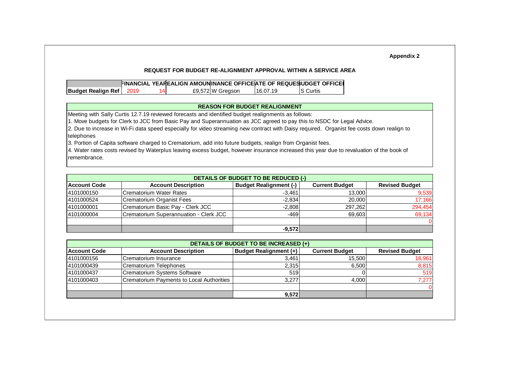|                                                                                                            |      |    |                  |                                      | <b>REQUEST FOR BUDGET RE-ALIGNMENT APPROVAL WITHIN A SERVICE AREA</b>                                                                      |
|------------------------------------------------------------------------------------------------------------|------|----|------------------|--------------------------------------|--------------------------------------------------------------------------------------------------------------------------------------------|
|                                                                                                            |      |    |                  |                                      | FINANCIAL YEAREALIGN AMOUNINANCE OFFICEATE OF REQUESUDGET OFFICEI                                                                          |
| <b>Budget Realign Ref</b>                                                                                  | 2019 | 14 | £9,572 W Gregson | 16.07.19                             | <b>S</b> Curtis                                                                                                                            |
|                                                                                                            |      |    |                  |                                      |                                                                                                                                            |
|                                                                                                            |      |    |                  | <b>REASON FOR BUDGET REALIGNMENT</b> |                                                                                                                                            |
| Meeting with Sally Curtis 12.7.19 reviewed forecasts and identified budget realignments as follows:        |      |    |                  |                                      |                                                                                                                                            |
|                                                                                                            |      |    |                  |                                      | 1. Move budgets for Clerk to JCC from Basic Pay and Superannuation as JCC agreed to pay this to NSDC for Legal Advice.                     |
|                                                                                                            |      |    |                  |                                      | 2. Due to increase in Wi-Fi data speed especially for video streaming new contract with Daisy required. Organist fee costs down realign to |
| telephones                                                                                                 |      |    |                  |                                      |                                                                                                                                            |
| 3. Portion of Capita software charged to Crematorium, add into future budgets, realign from Organist fees. |      |    |                  |                                      |                                                                                                                                            |
|                                                                                                            |      |    |                  |                                      | 4. Water rates costs revised by Waterplus leaving excess budget, however insurance increased this year due to revaluation of the book of   |
|                                                                                                            |      |    |                  |                                      |                                                                                                                                            |
| remembrance.                                                                                               |      |    |                  |                                      |                                                                                                                                            |

| Account Code | <b>Account Description</b>             | <b>Budget Realignment (-)</b> | <b>Current Budget</b> | <b>Revised Budget</b> |
|--------------|----------------------------------------|-------------------------------|-----------------------|-----------------------|
| 4101000150   | Crematorium Water Rates                | $-3,461$                      | 13.000                | 9,539                 |
| 4101000524   | Crematorium Organist Fees              | $-2.834$                      | 20,000                | 17,166                |
| 4101000001   | Crematorium Basic Pay - Clerk JCC      | $-2,808$                      | 297.262               | 294,454               |
| 4101000004   | Crematorium Superannuation - Clerk JCC | $-469$                        | 69.603                | 69,134                |
|              |                                        |                               |                       |                       |
|              |                                        | $-9,572$                      |                       |                       |

| DETAILS OF BUDGET TO BE INCREASED (+) |                                           |                               |                       |                       |  |  |  |  |  |
|---------------------------------------|-------------------------------------------|-------------------------------|-----------------------|-----------------------|--|--|--|--|--|
| <b>Account Code</b>                   | <b>Account Description</b>                | <b>Budget Realignment (+)</b> | <b>Current Budget</b> | <b>Revised Budget</b> |  |  |  |  |  |
| 4101000156                            | Crematorium Insurance                     | 3.461                         | 15.500                | 18,961                |  |  |  |  |  |
| 4101000439                            | Crematorium Telephones                    | 2,315                         | 6.500                 | 8,815                 |  |  |  |  |  |
| 4101000437                            | <b>Crematorium Systems Software</b>       | 519                           |                       | 519                   |  |  |  |  |  |
| 4101000403                            | Crematorium Payments to Local Authorities | 3.277                         | 4.000                 | 7,277                 |  |  |  |  |  |
|                                       |                                           |                               |                       |                       |  |  |  |  |  |
|                                       |                                           | 9,572                         |                       |                       |  |  |  |  |  |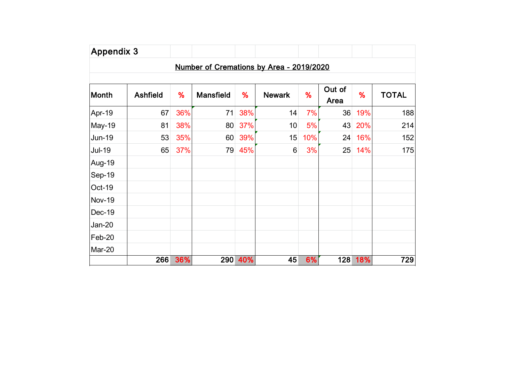|               |                 |     | Number of Cremations by Area - 2019/2020 |         |                  |     |                |         |              |
|---------------|-----------------|-----|------------------------------------------|---------|------------------|-----|----------------|---------|--------------|
| Month         | <b>Ashfield</b> | %   | <b>Mansfield</b>                         | %       | <b>Newark</b>    | %   | Out of<br>Area | %       | <b>TOTAL</b> |
| Apr-19        | 67              | 36% | 71                                       | 38%     | 14               | 7%  | 36             | 19%     | 188          |
| <b>May-19</b> | 81              | 38% | 80                                       | 37%     | 10               | 5%  | 43             | 20%     | 214          |
| <b>Jun-19</b> | 53              | 35% | 60 <sup>°</sup>                          | 39%     | 15               | 10% | 24             | 16%     | 152          |
| <b>Jul-19</b> | 65              | 37% | 79                                       | 45%     | $6 \overline{6}$ | 3%  | 25             | 14%     | 175          |
| Aug-19        |                 |     |                                          |         |                  |     |                |         |              |
| Sep-19        |                 |     |                                          |         |                  |     |                |         |              |
| Oct-19        |                 |     |                                          |         |                  |     |                |         |              |
| <b>Nov-19</b> |                 |     |                                          |         |                  |     |                |         |              |
| Dec-19        |                 |     |                                          |         |                  |     |                |         |              |
| $Jan-20$      |                 |     |                                          |         |                  |     |                |         |              |
| Feb-20        |                 |     |                                          |         |                  |     |                |         |              |
| Mar-20        |                 |     |                                          |         |                  |     |                |         |              |
|               | 266             | 36% |                                          | 290 40% | 45               | 6%  |                | 128 18% | 729          |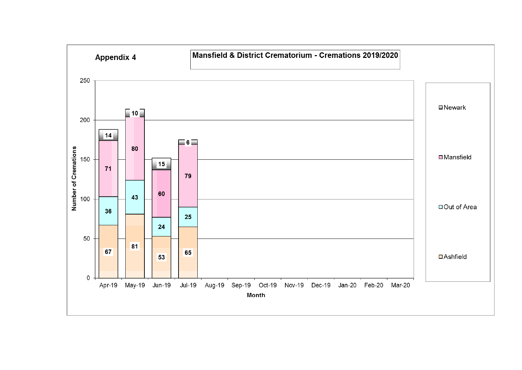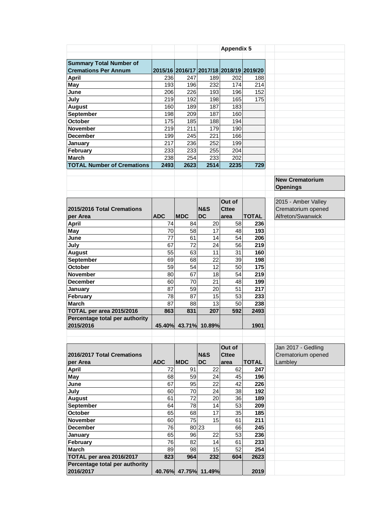|                                   |            |                 |                                         | <b>Appendix 5</b> |              |                        |
|-----------------------------------|------------|-----------------|-----------------------------------------|-------------------|--------------|------------------------|
|                                   |            |                 |                                         |                   |              |                        |
| <b>Summary Total Number of</b>    |            |                 |                                         |                   |              |                        |
| <b>Cremations Per Annum</b>       |            |                 | 2015/16 2016/17 2017/18 2018/19 2019/20 |                   |              |                        |
| <b>April</b>                      | 236        | 247             | 189                                     | 202               | 188          |                        |
| <b>May</b>                        | 193        | 196             | 232                                     | 174               | 214          |                        |
| June                              | 206        | 226             | 193                                     | 196               | 152          |                        |
| July                              | 219        | 192             | 198                                     | 165               | 175          |                        |
| <b>August</b>                     | 160        | 189             | 187                                     | 183               |              |                        |
| September                         | 198        | 209             | 187                                     | 160               |              |                        |
| October                           | 175        | 185             | 188                                     | 194               |              |                        |
| <b>November</b>                   | 219        | 211             | 179                                     | 190               |              |                        |
| <b>December</b>                   | 199        | 245             | 221                                     | 166               |              |                        |
|                                   | 217        | 236             | 252                                     | 199               |              |                        |
| January                           |            |                 |                                         |                   |              |                        |
| February                          | 233        | 233             | 255                                     | 204               |              |                        |
| <b>March</b>                      | 238        | 254             | 233                                     | 202               |              |                        |
| <b>TOTAL Number of Cremations</b> | 2493       | 2623            | 2514                                    | 2235              | 729          |                        |
|                                   |            |                 |                                         |                   |              |                        |
|                                   |            |                 |                                         |                   |              | <b>New Crematorium</b> |
|                                   |            |                 |                                         |                   |              | <b>Openings</b>        |
|                                   |            |                 |                                         |                   |              |                        |
|                                   |            |                 |                                         | Out of            |              | 2015 - Amber Valley    |
| 2015/2016 Total Cremations        |            |                 | <b>N&amp;S</b>                          | <b>Cttee</b>      |              | Crematorium opened     |
| per Area                          | <b>ADC</b> | <b>MDC</b>      | <b>DC</b>                               | area              | <b>TOTAL</b> | Alfreton/Swanwick      |
| <b>April</b>                      | 74         | 84              | 20                                      | 58                | 236          |                        |
| May                               | 70         | 58              | 17                                      | 48                | 193          |                        |
| June                              | 77         | 61              | 14                                      | 54                | 206          |                        |
| July                              | 67         | $\overline{72}$ | 24                                      | 56                | 219          |                        |
| <b>August</b>                     | 55         | 63              | 11                                      | 31                | 160          |                        |
| September                         | 69         | 68              | 22                                      | 39                | 198          |                        |
| <b>October</b>                    | 59         | 54              | 12                                      | 50                | 175          |                        |
| <b>November</b>                   | 80         | 67              | 18                                      | 54                | 219          |                        |
| <b>December</b>                   | 60         | 70              | 21                                      | 48                | 199          |                        |
| <b>January</b>                    | 87         | 59              | 20                                      | 51                | 217          |                        |
| February                          | 78         | 87              | 15                                      | 53                | 233          |                        |
| <b>March</b>                      | 87         | 88              | 13                                      | 50                | 238          |                        |
| TOTAL per area 2015/2016          | 863        | 831             | 207                                     | 592               | 2493         |                        |
| Percentage total per authority    |            |                 |                                         |                   |              |                        |
| 2015/2016                         |            |                 | 45.40% 43.71% 10.89%                    |                   | 1901         |                        |
|                                   |            |                 |                                         |                   |              |                        |
|                                   |            |                 |                                         |                   |              |                        |
|                                   |            |                 |                                         | Out of            |              | Jan 2017 - Gedling     |
| 2016/2017 Total Cremations        |            |                 | <b>N&amp;S</b>                          | <b>Cttee</b>      |              | Crematorium opened     |
| per Area                          | <b>ADC</b> | <b>MDC</b>      | <b>DC</b>                               | area              | <b>TOTAL</b> | Lambley                |
| <b>April</b>                      | 72         | 91              | 22                                      | 62                | 247          |                        |
| May                               | 68         | 59              | 24                                      | 45                | 196          |                        |
| June                              | 67         | 95              | 22                                      | 42                | 226          |                        |
| July                              | 60         | 70              | 24                                      | 38                | 192          |                        |
| <b>August</b>                     | 61         | 72              | 20                                      | 36                | 189          |                        |
| September                         | 64         | 78              | 14                                      | 53                | 209          |                        |
| October                           | 65         | 68              | 17                                      | 35                | 185          |                        |
| November                          | 60         | 75              | 15                                      | 61                | 211          |                        |
| <b>December</b>                   | 76         |                 | 80 23                                   | 66                | 245          |                        |
|                                   | 65         | 96              | 22                                      | 53                |              |                        |
| January                           |            |                 |                                         |                   | 236          |                        |
| February                          | 76         | 82              | 14                                      | 61                | 233          |                        |
| <b>March</b>                      | 89         | 98              | 15                                      | 52                | 254          |                        |
| TOTAL per area 2016/2017          | 823        | 964             | 232                                     | 604               | 2623         |                        |
| Percentage total per authority    |            |                 |                                         |                   |              |                        |
| 2016/2017                         |            |                 | 40.76% 47.75% 11.49%                    |                   | 2019         |                        |